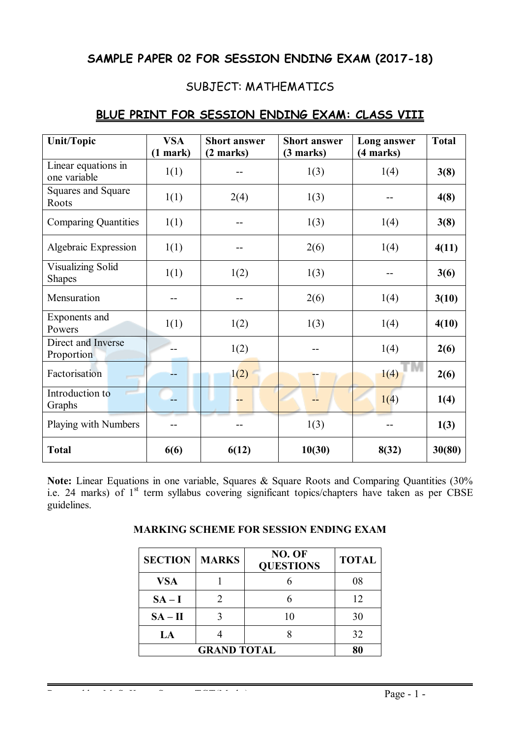# **SAMPLE PAPER 02 FOR SESSION ENDING EXAM (2017-18)**

# SUBJECT: MATHEMATICS

| <b>Unit/Topic</b>                         | <b>VSA</b><br>$(1$ mark) | <b>Short answer</b><br>(2 marks) | <b>Short answer</b><br>(3 marks) | Long answer<br>(4 marks) | <b>Total</b> |
|-------------------------------------------|--------------------------|----------------------------------|----------------------------------|--------------------------|--------------|
| Linear equations in<br>one variable       | 1(1)                     |                                  | 1(3)                             | 1(4)                     | 3(8)         |
| Squares and Square<br>Roots               | 1(1)                     | 2(4)                             | 1(3)                             |                          | 4(8)         |
| <b>Comparing Quantities</b>               | 1(1)                     |                                  | 1(3)                             | 1(4)                     | 3(8)         |
| Algebraic Expression                      | 1(1)                     |                                  | 2(6)                             | 1(4)                     | 4(11)        |
| <b>Visualizing Solid</b><br><b>Shapes</b> | 1(1)                     | 1(2)                             | 1(3)                             |                          | 3(6)         |
| Mensuration                               |                          |                                  | 2(6)                             | 1(4)                     | 3(10)        |
| Exponents and<br>Powers                   | 1(1)                     | 1(2)                             | 1(3)                             | 1(4)                     | 4(10)        |
| Direct and Inverse<br>Proportion          |                          | 1(2)                             |                                  | 1(4)                     | 2(6)         |
| Factorisation                             |                          | 1(2)                             |                                  | 1(4)                     | 2(6)         |
| Introduction to<br>Graphs                 |                          |                                  |                                  | 1(4)                     | 1(4)         |
| Playing with Numbers                      |                          |                                  | 1(3)                             |                          | 1(3)         |
| <b>Total</b>                              | 6(6)                     | 6(12)                            | 10(30)                           | 8(32)                    | 30(80)       |

## **BLUE PRINT FOR SESSION ENDING EXAM: CLASS VIII**

Note: Linear Equations in one variable, Squares & Square Roots and Comparing Quantities (30%) i.e. 24 marks) of 1<sup>st</sup> term syllabus covering significant topics/chapters have taken as per CBSE guidelines.

| <b>MARKING SCHEME FOR SESSION ENDING EXAM</b> |  |  |  |  |  |
|-----------------------------------------------|--|--|--|--|--|
|-----------------------------------------------|--|--|--|--|--|

| <b>SECTION</b> | <b>MARKS</b> | NO. OF<br><b>QUESTIONS</b> | <b>TOTAL</b> |
|----------------|--------------|----------------------------|--------------|
| <b>VSA</b>     |              |                            | 08           |
| $SA-I$         |              |                            | 12           |
| $SA - II$      |              | 10                         | 30           |
| LA             |              |                            | 32           |
|                | 80           |                            |              |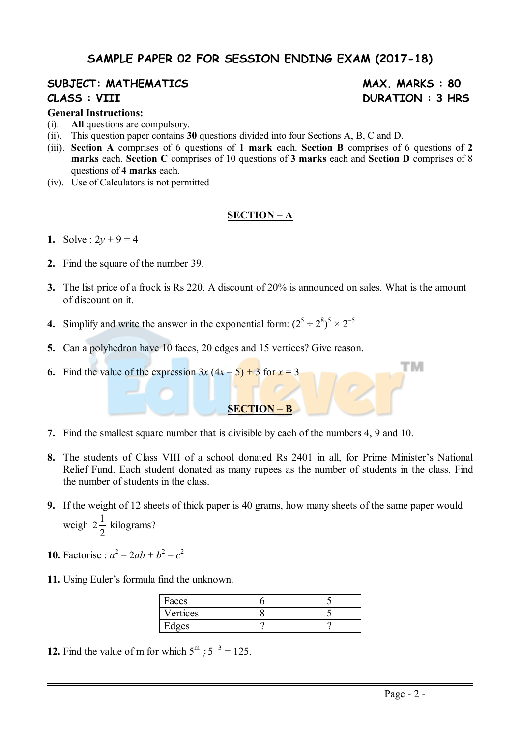# **SAMPLE PAPER 02 FOR SESSION ENDING EXAM (2017-18)**

# **SUBJECT: MATHEMATICS MAX. MARKS : 80**

#### **General Instructions:**

- (i). **All** questions are compulsory.
- (ii). This question paper contains **30** questions divided into four Sections A, B, C and D.
- (iii). **Section A** comprises of 6 questions of **1 mark** each. **Section B** comprises of 6 questions of **2 marks** each. **Section C** comprises of 10 questions of **3 marks** each and **Section D** comprises of 8 questions of **4 marks** each.
- (iv). Use of Calculators is not permitted

#### **SECTION – A**

- **1.** Solve :  $2y + 9 = 4$
- **2.** Find the square of the number 39.
- **3.** The list price of a frock is Rs 220. A discount of 20% is announced on sales. What is the amount of discount on it.
- **4.** Simplify and write the answer in the exponential form:  $(2^5 \div 2^8)^5 \times 2^{-5}$
- **5.** Can a polyhedron have 10 faces, 20 edges and 15 vertices? Give reason.
- **6.** Find the value of the expression  $3x (4x 5) + 3$  for  $x = 3$
- **7.** Find the smallest square number that is divisible by each of the numbers 4, 9 and 10.
- **8.** The students of Class VIII of a school donated Rs 2401 in all, for Prime Minister's National Relief Fund. Each student donated as many rupees as the number of students in the class. Find the number of students in the class.

**SECTION – B**

- **9.** If the weight of 12 sheets of thick paper is 40 grams, how many sheets of the same paper would weigh  $2\frac{1}{2}$ 2 kilograms?
- **10.** Factorise :  $a^2 2ab + b^2 c^2$
- **11.** Using Euler's formula find the unknown.

| Faces    |  |
|----------|--|
| Vertices |  |
| Edges    |  |

**12.** Find the value of m for which  $5^{\text{m}} \div 5^{-3} = 125$ .

# **CLASS : VIII DURATION : 3 HRS**

тм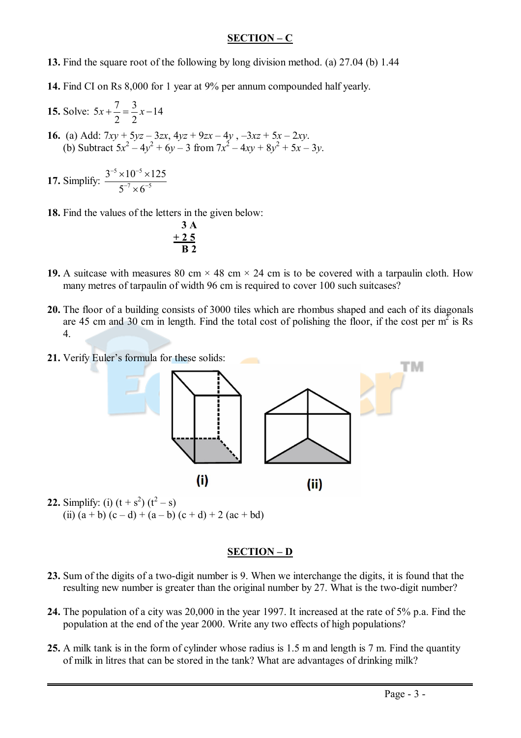### **SECTION – C**

- **13.** Find the square root of the following by long division method. (a) 27.04 (b) 1.44
- **14.** Find CI on Rs 8,000 for 1 year at 9% per annum compounded half yearly.
- **15.** Solve:  $5x + \frac{7}{9} = \frac{3}{2}x 14$ 2 2  $x + \frac{7}{2} = \frac{3}{2}x - 1$
- **16.** (a) Add:  $7xy + 5yz 3zx$ ,  $4yz + 9zx 4y$ ,  $-3xz + 5x 2xy$ . (b) Subtract  $5x^2 - 4y^2 + 6y - 3$  from  $7x^2 - 4xy + 8y^2 + 5x - 3y$ .

17. Simplify: 
$$
\frac{3^{-5} \times 10^{-5} \times 125}{5^{-7} \times 6^{-5}}
$$

**18.** Find the values of the letters in the given below:

$$
\begin{array}{c}\n3 \text{ A} \\
+25 \\
\hline\n\text{B}2\n\end{array}
$$

- **19.** A suitcase with measures 80 cm  $\times$  48 cm  $\times$  24 cm is to be covered with a tarpaulin cloth. How many metres of tarpaulin of width 96 cm is required to cover 100 such suitcases?
- **20.** The floor of a building consists of 3000 tiles which are rhombus shaped and each of its diagonals are 45 cm and 30 cm in length. Find the total cost of polishing the floor, if the cost per  $m^2$  is Rs 4.
- **21.** Verify Euler's formula for these solids:



**22.** Simplify: (i)  $(t + s^2)$   $(t^2 - s)$ (ii)  $(a + b) (c - d) + (a - b) (c + d) + 2 (ac + bd)$ 

#### **SECTION – D**

- **23.** Sum of the digits of a two-digit number is 9. When we interchange the digits, it is found that the resulting new number is greater than the original number by 27. What is the two-digit number?
- **24.** The population of a city was 20,000 in the year 1997. It increased at the rate of 5% p.a. Find the population at the end of the year 2000. Write any two effects of high populations?
- **25.** A milk tank is in the form of cylinder whose radius is 1.5 m and length is 7 m. Find the quantity of milk in litres that can be stored in the tank? What are advantages of drinking milk?